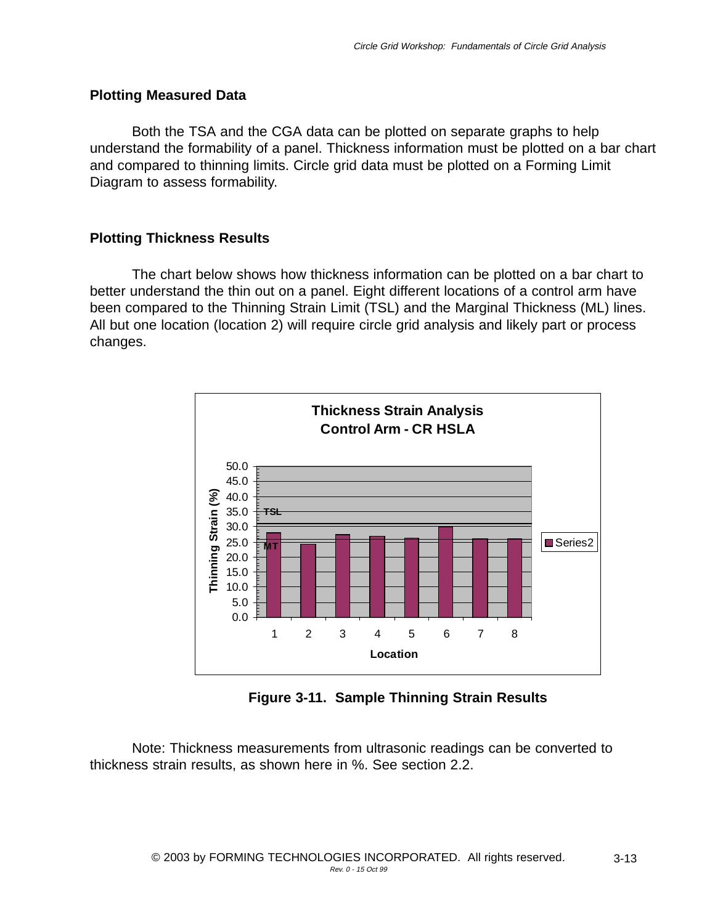## **Plotting Measured Data**

Both the TSA and the CGA data can be plotted on separate graphs to help understand the formability of a panel. Thickness information must be plotted on a bar chart and compared to thinning limits. Circle grid data must be plotted on a Forming Limit Diagram to assess formability.

## **Plotting Thickness Results**

The chart below shows how thickness information can be plotted on a bar chart to better understand the thin out on a panel. Eight different locations of a control arm have been compared to the Thinning Strain Limit (TSL) and the Marginal Thickness (ML) lines. All but one location (location 2) will require circle grid analysis and likely part or process changes.



**Figure 3-11. Sample Thinning Strain Results**

Note: Thickness measurements from ultrasonic readings can be converted to thickness strain results, as shown here in %. See section 2.2.